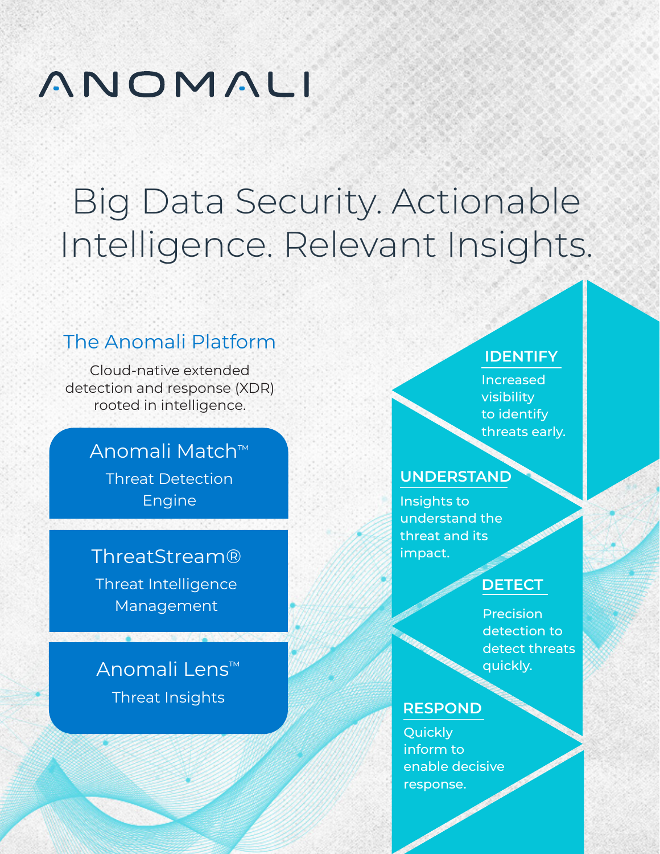# ANOMALI

# Big Data Security. Actionable Intelligence. Relevant Insights.

## The Anomali Platform

Cloud-native extended detection and response (XDR) rooted in intelligence.

## Anomali Match™

Threat Detection Engine

## ThreatStream®

Threat Intelligence Management

## Anomali Lens™

Threat Insights

#### **IDENTIFY**

Increased visibility to identify threats early.

#### **UNDERSTAND**

Insights to understand the threat and its impact.

### **DETECT**

Precision detection to detect threats quickly.

#### **RESPOND**

Quickly inform to enable decisive response.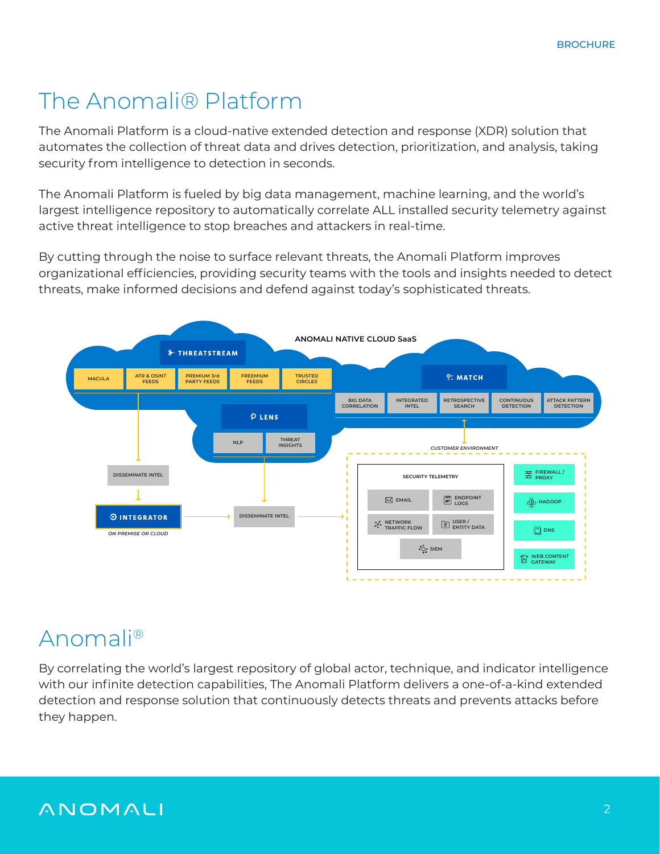# The Anomali® Platform

The Anomali Platform is a cloud-native extended detection and response (XDR) solution that automates the collection of threat data and drives detection, prioritization, and analysis, taking security from intelligence to detection in seconds.

The Anomali Platform is fueled by big data management, machine learning, and the world's largest intelligence repository to automatically correlate ALL installed security telemetry against active threat intelligence to stop breaches and attackers in real-time.

By cutting through the noise to surface relevant threats, the Anomali Platform improves organizational efficiencies, providing security teams with the tools and insights needed to detect threats, make informed decisions and defend against today's sophisticated threats.



# Anomali®

By correlating the world's largest repository of global actor, technique, and indicator intelligence with our infinite detection capabilities, The Anomali Platform delivers a one-of-a-kind extended detection and response solution that continuously detects threats and prevents attacks before they happen.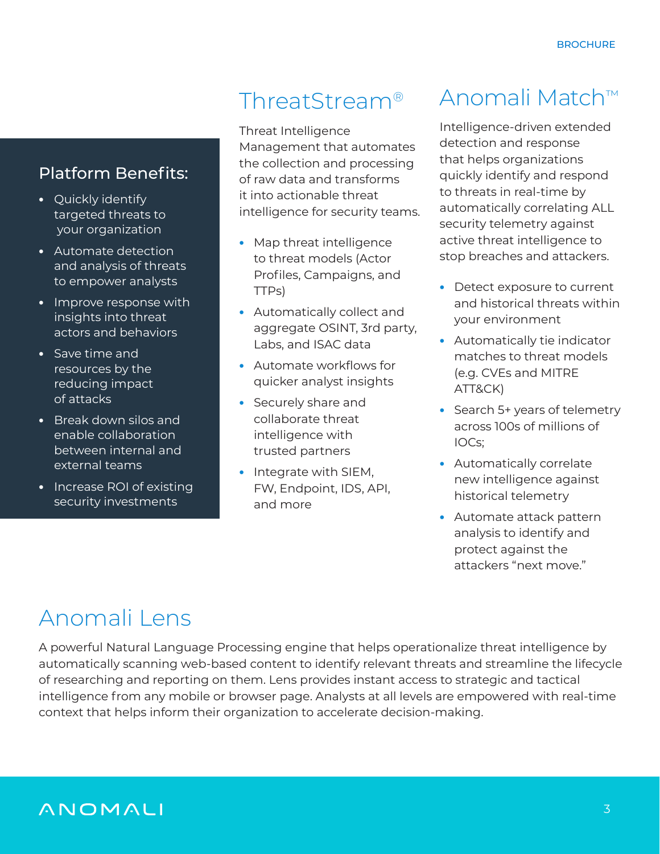#### Platform Benefits:

- **•** Quickly identify targeted threats to your organization
- **•** Automate detection and analysis of threats to empower analysts
- **•** Improve response with insights into threat actors and behaviors
- **•** Save time and resources by the reducing impact of attacks
- **•** Break down silos and enable collaboration between internal and external teams
- **•** Increase ROI of existing security investments

## ThreatStream®

Threat Intelligence Management that automates the collection and processing of raw data and transforms it into actionable threat intelligence for security teams.

- **•** Map threat intelligence to threat models (Actor Profiles, Campaigns, and TTPs)
- **•** Automatically collect and aggregate OSINT, 3rd party, Labs, and ISAC data
- **•** Automate workflows for quicker analyst insights
- **•** Securely share and collaborate threat intelligence with trusted partners
- **•** Integrate with SIEM, FW, Endpoint, IDS, API, and more

## Anomali Match™

Intelligence-driven extended detection and response that helps organizations quickly identify and respond to threats in real-time by automatically correlating ALL security telemetry against active threat intelligence to stop breaches and attackers.

- **•** Detect exposure to current and historical threats within your environment
- **•** Automatically tie indicator matches to threat models (e.g. CVEs and MITRE ATT&CK)
- **•** Search 5+ years of telemetry across 100s of millions of IOCs;
- **•** Automatically correlate new intelligence against historical telemetry
- **•** Automate attack pattern analysis to identify and protect against the attackers "next move."

# Anomali Lens

A powerful Natural Language Processing engine that helps operationalize threat intelligence by automatically scanning web-based content to identify relevant threats and streamline the lifecycle of researching and reporting on them. Lens provides instant access to strategic and tactical intelligence from any mobile or browser page. Analysts at all levels are empowered with real-time context that helps inform their organization to accelerate decision-making.

## ANOMALI